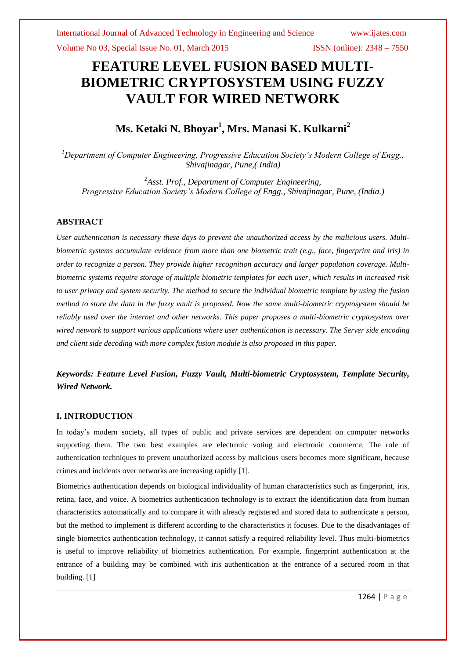Volume No 03, Special Issue No. 01, March 2015 ISSN (online): 2348 – 7550

# **FEATURE LEVEL FUSION BASED MULTI-BIOMETRIC CRYPTOSYSTEM USING FUZZY VAULT FOR WIRED NETWORK**

# **Ms. Ketaki N. Bhoyar<sup>1</sup> , Mrs. Manasi K. Kulkarni<sup>2</sup>**

*<sup>1</sup>Department of Computer Engineering, Progressive Education Society's Modern College of Engg., Shivajinagar, Pune,( India)*

*<sup>2</sup>Asst. Prof., Department of Computer Engineering, Progressive Education Society's Modern College of Engg., Shivajinagar, Pune, (India.)*

# **ABSTRACT**

*User authentication is necessary these days to prevent the unauthorized access by the malicious users. Multibiometric systems accumulate evidence from more than one biometric trait (e.g., face, fingerprint and iris) in order to recognize a person. They provide higher recognition accuracy and larger population coverage. Multibiometric systems require storage of multiple biometric templates for each user, which results in increased risk to user privacy and system security. The method to secure the individual biometric template by using the fusion method to store the data in the fuzzy vault is proposed. Now the same multi-biometric cryptosystem should be reliably used over the internet and other networks. This paper proposes a multi-biometric cryptosystem over wired network to support various applications where user authentication is necessary. The Server side encoding and client side decoding with more complex fusion module is also proposed in this paper.*

*Keywords: Feature Level Fusion, Fuzzy Vault, Multi-biometric Cryptosystem, Template Security, Wired Network.*

# **I. INTRODUCTION**

In today's modern society, all types of public and private services are dependent on computer networks supporting them. The two best examples are electronic voting and electronic commerce. The role of authentication techniques to prevent unauthorized access by malicious users becomes more significant, because crimes and incidents over networks are increasing rapidly [1].

Biometrics authentication depends on biological individuality of human characteristics such as fingerprint, iris, retina, face, and voice. A biometrics authentication technology is to extract the identification data from human characteristics automatically and to compare it with already registered and stored data to authenticate a person, but the method to implement is different according to the characteristics it focuses. Due to the disadvantages of single biometrics authentication technology, it cannot satisfy a required reliability level. Thus multi-biometrics is useful to improve reliability of biometrics authentication. For example, fingerprint authentication at the entrance of a building may be combined with iris authentication at the entrance of a secured room in that building. [1]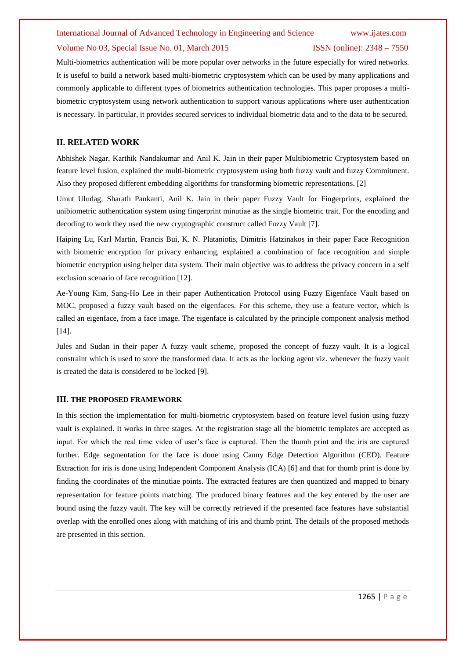### Volume No 03, Special Issue No. 01, March 2015 ISSN (online): 2348 – 7550

Multi-biometrics authentication will be more popular over networks in the future especially for wired networks. It is useful to build a network based multi-biometric cryptosystem which can be used by many applications and commonly applicable to different types of biometrics authentication technologies. This paper proposes a multibiometric cryptosystem using network authentication to support various applications where user authentication is necessary. In particular, it provides secured services to individual biometric data and to the data to be secured.

# **II. RELATED WORK**

Abhishek Nagar, Karthik Nandakumar and Anil K. Jain in their paper Multibiometric Cryptosystem based on feature level fusion, explained the multi-biometric cryptosystem using both fuzzy vault and fuzzy Commitment. Also they proposed different embedding algorithms for transforming biometric representations. [2]

Umut Uludag, Sharath Pankanti, Anil K. Jain in their paper Fuzzy Vault for Fingerprints, explained the unibiometric authentication system using fingerprint minutiae as the single biometric trait. For the encoding and decoding to work they used the new cryptographic construct called Fuzzy Vault [7].

Haiping Lu, Karl Martin, Francis Bui, K. N. Plataniotis, Dimitris Hatzinakos in their paper Face Recognition with biometric encryption for privacy enhancing, explained a combination of face recognition and simple biometric encryption using helper data system. Their main objective was to address the privacy concern in a self exclusion scenario of face recognition [12].

Ae-Young Kim, Sang-Ho Lee in their paper Authentication Protocol using Fuzzy Eigenface Vault based on MOC, proposed a fuzzy vault based on the eigenfaces. For this scheme, they use a feature vector, which is called an eigenface, from a face image. The eigenface is calculated by the principle component analysis method [14].

Jules and Sudan in their paper A fuzzy vault scheme, proposed the concept of fuzzy vault. It is a logical constraint which is used to store the transformed data. It acts as the locking agent viz. whenever the fuzzy vault is created the data is considered to be locked [9].

# **III. THE PROPOSED FRAMEWORK**

In this section the implementation for multi-biometric cryptosystem based on feature level fusion using fuzzy vault is explained. It works in three stages. At the registration stage all the biometric templates are accepted as input. For which the real time video of user's face is captured. Then the thumb print and the iris are captured further. Edge segmentation for the face is done using Canny Edge Detection Algorithm (CED). Feature Extraction for iris is done using Independent Component Analysis (ICA) [6] and that for thumb print is done by finding the coordinates of the minutiae points. The extracted features are then quantized and mapped to binary representation for feature points matching. The produced binary features and the key entered by the user are bound using the fuzzy vault. The key will be correctly retrieved if the presented face features have substantial overlap with the enrolled ones along with matching of iris and thumb print. The details of the proposed methods are presented in this section.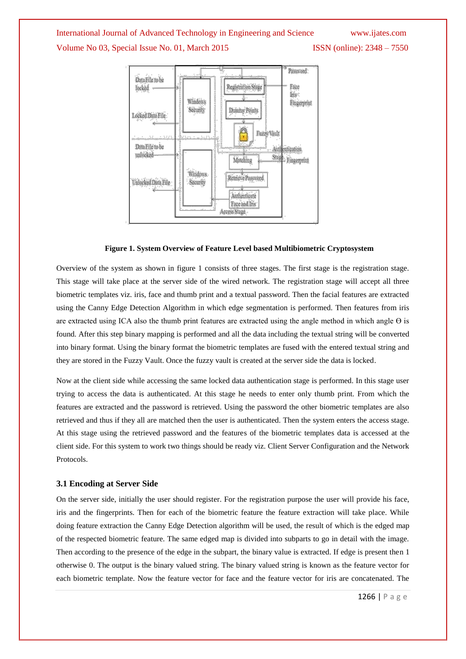# Volume No 03, Special Issue No. 01, March 2015 ISSN (online): 2348 – 7550



# **Figure 1. System Overview of Feature Level based Multibiometric Cryptosystem**

Overview of the system as shown in figure 1 consists of three stages. The first stage is the registration stage. This stage will take place at the server side of the wired network. The registration stage will accept all three biometric templates viz. iris, face and thumb print and a textual password. Then the facial features are extracted using the Canny Edge Detection Algorithm in which edge segmentation is performed. Then features from iris are extracted using ICA also the thumb print features are extracted using the angle method in which angle  $\Theta$  is found. After this step binary mapping is performed and all the data including the textual string will be converted into binary format. Using the binary format the biometric templates are fused with the entered textual string and they are stored in the Fuzzy Vault. Once the fuzzy vault is created at the server side the data is locked.

Now at the client side while accessing the same locked data authentication stage is performed. In this stage user trying to access the data is authenticated. At this stage he needs to enter only thumb print. From which the features are extracted and the password is retrieved. Using the password the other biometric templates are also retrieved and thus if they all are matched then the user is authenticated. Then the system enters the access stage. At this stage using the retrieved password and the features of the biometric templates data is accessed at the client side. For this system to work two things should be ready viz. Client Server Configuration and the Network Protocols.

# **3.1 Encoding at Server Side**

On the server side, initially the user should register. For the registration purpose the user will provide his face, iris and the fingerprints. Then for each of the biometric feature the feature extraction will take place. While doing feature extraction the Canny Edge Detection algorithm will be used, the result of which is the edged map of the respected biometric feature. The same edged map is divided into subparts to go in detail with the image. Then according to the presence of the edge in the subpart, the binary value is extracted. If edge is present then 1 otherwise 0. The output is the binary valued string. The binary valued string is known as the feature vector for each biometric template. Now the feature vector for face and the feature vector for iris are concatenated. The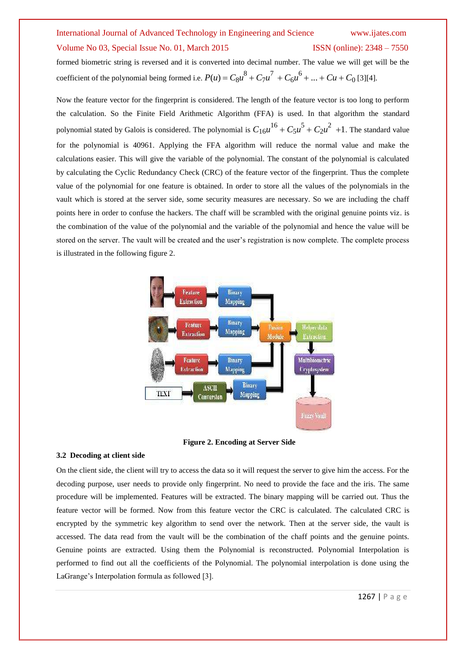# International Journal of Advanced Technology in Engineering and Science www.ijates.com Volume No 03, Special Issue No. 01, March 2015 ISSN (online): 2348 – 7550

# formed biometric string is reversed and it is converted into decimal number. The value we will get will be the

coefficient of the polynomial being formed i.e.  $P(u) = C_8 u^8 + C_7 u^7 + C_6 u^6 + ... + Cu + C_0$  [3][4].

Now the feature vector for the fingerprint is considered. The length of the feature vector is too long to perform the calculation. So the Finite Field Arithmetic Algorithm (FFA) is used. In that algorithm the standard polynomial stated by Galois is considered. The polynomial is  $C_{16}u^{16} + C_5u^5 + C_2u^2 + 1$ . The standard value for the polynomial is 40961. Applying the FFA algorithm will reduce the normal value and make the calculations easier. This will give the variable of the polynomial. The constant of the polynomial is calculated by calculating the Cyclic Redundancy Check (CRC) of the feature vector of the fingerprint. Thus the complete value of the polynomial for one feature is obtained. In order to store all the values of the polynomials in the vault which is stored at the server side, some security measures are necessary. So we are including the chaff points here in order to confuse the hackers. The chaff will be scrambled with the original genuine points viz. is the combination of the value of the polynomial and the variable of the polynomial and hence the value will be stored on the server. The vault will be created and the user's registration is now complete. The complete process is illustrated in the following figure 2.



**Figure 2. Encoding at Server Side**

### **3.2 Decoding at client side**

On the client side, the client will try to access the data so it will request the server to give him the access. For the decoding purpose, user needs to provide only fingerprint. No need to provide the face and the iris. The same procedure will be implemented. Features will be extracted. The binary mapping will be carried out. Thus the feature vector will be formed. Now from this feature vector the CRC is calculated. The calculated CRC is encrypted by the symmetric key algorithm to send over the network. Then at the server side, the vault is accessed. The data read from the vault will be the combination of the chaff points and the genuine points. Genuine points are extracted. Using them the Polynomial is reconstructed. Polynomial Interpolation is performed to find out all the coefficients of the Polynomial. The polynomial interpolation is done using the LaGrange's Interpolation formula as followed [3].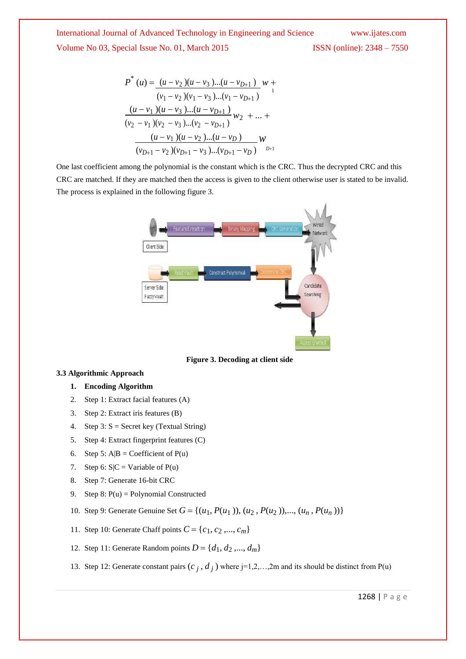International Journal of Advanced Technology in Engineering and Science www.ijates.com Volume No 03, Special Issue No. 01, March 2015 ISSN (online): 2348 – 7550

$$
P^*(u) = \frac{(u - v_2)(u - v_3)...(u - v_{D+1})}{(v_1 - v_2)(v_1 - v_3)...(v_1 - v_{D+1})} w + \frac{(u - v_1)(u - v_3)...(u - v_{D+1})}{(v_2 - v_1)(v_2 - v_3)...(v_2 - v_{D+1})} w_2 + ... + \frac{(u - v_1)(u - v_2)...(u - v_D)}{(v_{D+1} - v_2)(v_{D+1} - v_3)...(v_{D+1} - v_D)} w
$$

One last coefficient among the polynomial is the constant which is the CRC. Thus the decrypted CRC and this CRC are matched. If they are matched then the access is given to the client otherwise user is stated to be invalid. The process is explained in the following figure 3.



**Figure 3. Decoding at client side**

# **3.3 Algorithmic Approach**

- **1. Encoding Algorithm**
- 2. Step 1: Extract facial features (A)
- 3. Step 2: Extract iris features (B)
- 4. Step 3:  $S =$  Secret key (Textual String)
- 5. Step 4: Extract fingerprint features (C)
- 6. Step 5: A|B = Coefficient of  $P(u)$
- 7. Step 6:  $S/C = \text{Variable of } P(u)$
- 8. Step 7: Generate 16-bit CRC
- 9. Step 8:  $P(u) =$  Polynomial Constructed
- 10. Step 9: Generate Genuine Set  $G = \{(u_1, P(u_1)), (u_2, P(u_2)), ..., (u_n, P(u_n))\}$
- 11. Step 10: Generate Chaff points  $C = \{c_1, c_2, ..., c_m\}$
- 12. Step 11: Generate Random points  $D = \{d_1, d_2, ..., d_m\}$
- 13. Step 12: Generate constant pairs  $(c_j, d_j)$  where j=1,2,...,2m and its should be distinct from P(u)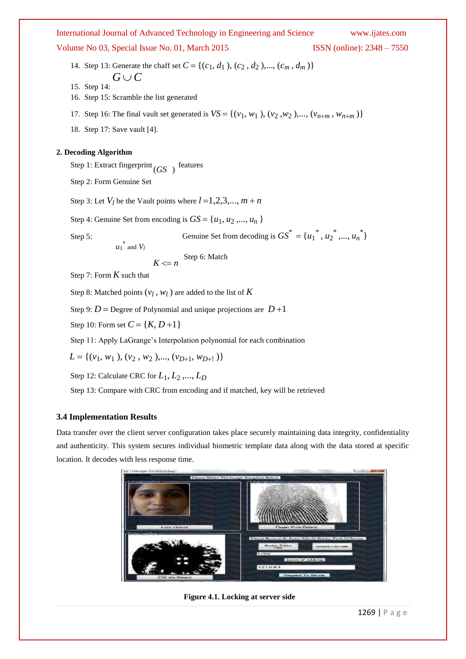Volume No 03, Special Issue No. 01, March 2015 ISSN (online): 2348 – 7550

14. Step 13: Generate the chaff set  $C = \{(c_1, d_1), (c_2, d_2), ..., (c_m, d_m)\}\$  $G \cup C$ 

15. Step 14:

- 16. Step 15: Scramble the list generated
- 17. Step 16: The final vault set generated is  $VS = \{(v_1, w_1), (v_2, w_2), ..., (v_{n+m}, w_{n+m})\}$
- 18. Step 17: Save vault [4].

# **2. Decoding Algorithm**

Step 1: Extract fingerprint  $(GS)$  features

Step 2: Form Genuine Set

Step 3: Let  $V_l$  be the Vault points where  $l = 1, 2, 3, \dots, m + n$ 

Step 4: Genuine Set from encoding is  $GS = \{u_1, u_2, ..., u_n\}$ 

Step 5: **Genuine Set from decoding is**  $GS^* = {u_1^*, u_2^*, ..., u_n^*}$ 

 $u_1^*$  and  $V_l$ 

 $K \leq n$  Step 6: Match

Step 7: Form *K* such that

Step 8: Matched points  $(v_l, w_l)$  are added to the list of  $K$ 

Step 9:  $D =$  Degree of Polynomial and unique projections are  $D+1$ 

Step 10: Form set  $C = \{K, D+1\}$ 

Step 11: Apply LaGrange's Interpolation polynomial for each combination

$$
L = \{ (v_1, w_1), (v_2, w_2), ..., (v_{D+1}, w_{D+1}) \}
$$

Step 12: Calculate CRC for  $L_1, L_2, ..., L_D$ 

Step 13: Compare with CRC from encoding and if matched, key will be retrieved

# **3.4 Implementation Results**

Data transfer over the client server configuration takes place securely maintaining data integrity, confidentiality and authenticity. This system secures individual biometric template data along with the data stored at specific location. It decodes with less response time.



**Figure 4.1. Locking at server side**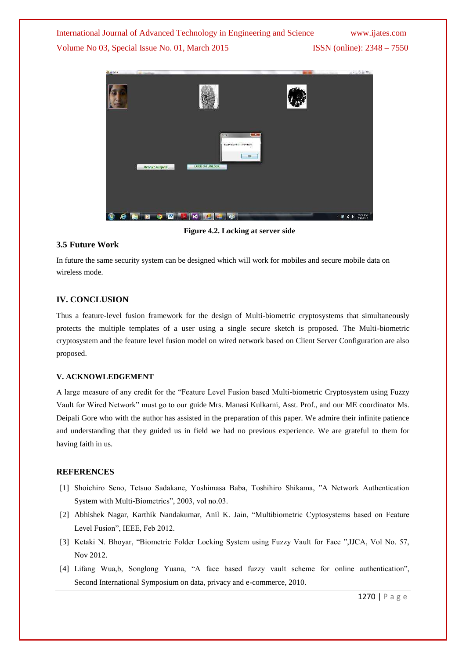International Journal of Advanced Technology in Engineering and Science www.ijates.com Volume No 03, Special Issue No. 01, March 2015 ISSN (online): 2348 – 7550



**Figure 4.2. Locking at server side**

# **3.5 Future Work**

In future the same security system can be designed which will work for mobiles and secure mobile data on wireless mode.

# **IV. CONCLUSION**

Thus a feature-level fusion framework for the design of Multi-biometric cryptosystems that simultaneously protects the multiple templates of a user using a single secure sketch is proposed. The Multi-biometric cryptosystem and the feature level fusion model on wired network based on Client Server Configuration are also proposed.

# **V. ACKNOWLEDGEMENT**

A large measure of any credit for the "Feature Level Fusion based Multi-biometric Cryptosystem using Fuzzy Vault for Wired Network" must go to our guide Mrs. Manasi Kulkarni, Asst. Prof., and our ME coordinator Ms. Deipali Gore who with the author has assisted in the preparation of this paper. We admire their infinite patience and understanding that they guided us in field we had no previous experience. We are grateful to them for having faith in us.

# **REFERENCES**

- [1] Shoichiro Seno, Tetsuo Sadakane, Yoshimasa Baba, Toshihiro Shikama, "A Network Authentication System with Multi-Biometrics", 2003, vol no.03.
- [2] Abhishek Nagar, Karthik Nandakumar, Anil K. Jain, "Multibiometric Cyptosystems based on Feature Level Fusion", IEEE, Feb 2012.
- [3] Ketaki N. Bhoyar, "Biometric Folder Locking System using Fuzzy Vault for Face ",IJCA, Vol No. 57, Nov 2012.
- [4] Lifang Wua,b, Songlong Yuana, "A face based fuzzy vault scheme for online authentication", Second International Symposium on data, privacy and e-commerce, 2010.